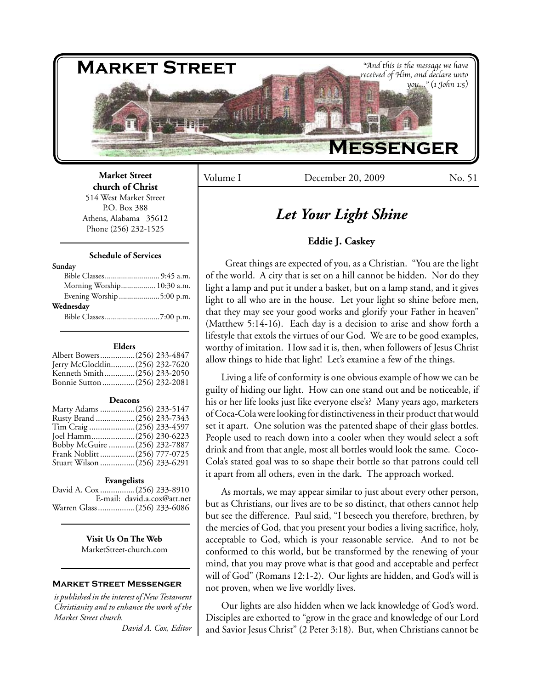

Volume I December 20, 2009 No. 51

# *Let Your Light Shine*

# **Eddie J. Caskey**

Great things are expected of you, as a Christian. "You are the light of the world. A city that is set on a hill cannot be hidden. Nor do they light a lamp and put it under a basket, but on a lamp stand, and it gives light to all who are in the house. Let your light so shine before men, that they may see your good works and glorify your Father in heaven" (Matthew 5:14-16). Each day is a decision to arise and show forth a lifestyle that extols the virtues of our God. We are to be good examples, worthy of imitation. How sad it is, then, when followers of Jesus Christ allow things to hide that light! Let's examine a few of the things.

Living a life of conformity is one obvious example of how we can be guilty of hiding our light. How can one stand out and be noticeable, if his or her life looks just like everyone else's? Many years ago, marketers of Coca-Cola were looking for distinctiveness in their product that would set it apart. One solution was the patented shape of their glass bottles. People used to reach down into a cooler when they would select a soft drink and from that angle, most all bottles would look the same. Coco-Cola's stated goal was to so shape their bottle so that patrons could tell it apart from all others, even in the dark. The approach worked.

As mortals, we may appear similar to just about every other person, but as Christians, our lives are to be so distinct, that others cannot help but see the difference. Paul said, "I beseech you therefore, brethren, by the mercies of God, that you present your bodies a living sacrifice, holy, acceptable to God, which is your reasonable service. And to not be conformed to this world, but be transformed by the renewing of your mind, that you may prove what is that good and acceptable and perfect will of God" (Romans 12:1-2). Our lights are hidden, and God's will is not proven, when we live worldly lives.

Our lights are also hidden when we lack knowledge of God's word. Disciples are exhorted to "grow in the grace and knowledge of our Lord and Savior Jesus Christ" (2 Peter 3:18). But, when Christians cannot be

**Market Street church of Christ** 514 West Market Street P.O. Box 388

Athens, Alabama 35612 Phone (256) 232-1525

## **Schedule of Services**

#### **Sunday**

| Morning Worship 10:30 a.m. |  |
|----------------------------|--|
| Evening Worship 5:00 p.m.  |  |
| Wednesday                  |  |
|                            |  |

#### **Elders**

| Albert Bowers(256) 233-4847    |  |
|--------------------------------|--|
| Jerry McGlocklin(256) 232-7620 |  |
| Kenneth Smith(256) 233-2050    |  |
| Bonnie Sutton (256) 232-2081   |  |

#### **Deacons**

| Marty Adams (256) 233-5147   |  |
|------------------------------|--|
| Rusty Brand (256) 233-7343   |  |
| Tim Craig (256) 233-4597     |  |
| Joel Hamm(256) 230-6223      |  |
| Bobby McGuire (256) 232-7887 |  |
|                              |  |
| Stuart Wilson (256) 233-6291 |  |

#### **Evangelists**

| David A. Cox (256) 233-8910 |                             |
|-----------------------------|-----------------------------|
|                             | E-mail: david.a.cox@att.net |
| Warren Glass (256) 233-6086 |                             |

**Visit Us On The Web** MarketStreet-church.com

### **Market Street Messenger**

*is published in the interest of New Testament Christianity and to enhance the work of the Market Street church.*

*David A. Cox, Editor*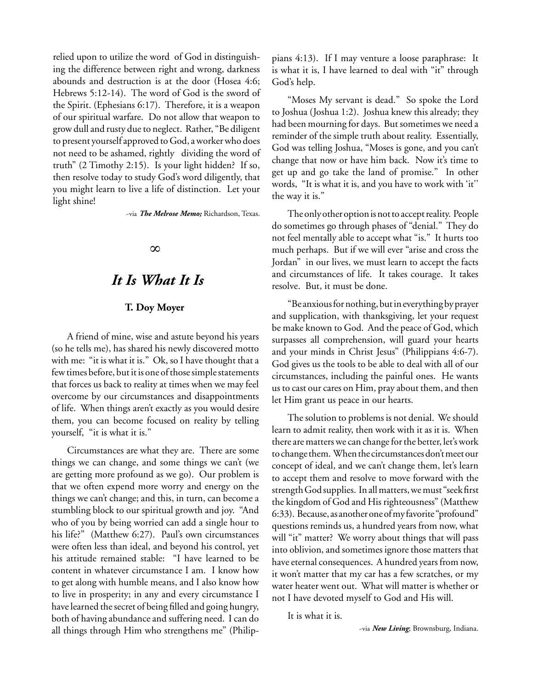relied upon to utilize the word of God in distinguishing the difference between right and wrong, darkness abounds and destruction is at the door (Hosea 4:6; Hebrews 5:12-14). The word of God is the sword of the Spirit. (Ephesians 6:17). Therefore, it is a weapon of our spiritual warfare. Do not allow that weapon to grow dull and rusty due to neglect. Rather, "Be diligent to present yourself approved to God, a worker who does not need to be ashamed, rightly dividing the word of truth" (2 Timothy 2:15). Is your light hidden? If so, then resolve today to study God's word diligently, that you might learn to live a life of distinction. Let your light shine!

~via *The Melrose Memo;* Richardson, Texas.

# ∞

# *It Is What It Is*

# **T. Doy Moyer**

A friend of mine, wise and astute beyond his years (so he tells me), has shared his newly discovered motto with me: "it is what it is." Ok, so I have thought that a few times before, but it is one of those simple statements that forces us back to reality at times when we may feel overcome by our circumstances and disappointments of life. When things aren't exactly as you would desire them, you can become focused on reality by telling yourself, "it is what it is."

Circumstances are what they are. There are some things we can change, and some things we can't (we are getting more profound as we go). Our problem is that we often expend more worry and energy on the things we can't change; and this, in turn, can become a stumbling block to our spiritual growth and joy. "And who of you by being worried can add a single hour to his life?" (Matthew 6:27). Paul's own circumstances were often less than ideal, and beyond his control, yet his attitude remained stable: "I have learned to be content in whatever circumstance I am. I know how to get along with humble means, and I also know how to live in prosperity; in any and every circumstance I have learned the secret of being filled and going hungry, both of having abundance and suffering need. I can do all things through Him who strengthens me" (Philippians 4:13). If I may venture a loose paraphrase: It is what it is, I have learned to deal with "it" through God's help.

"Moses My servant is dead." So spoke the Lord to Joshua (Joshua 1:2). Joshua knew this already; they had been mourning for days. But sometimes we need a reminder of the simple truth about reality. Essentially, God was telling Joshua, "Moses is gone, and you can't change that now or have him back. Now it's time to get up and go take the land of promise." In other words, "It is what it is, and you have to work with 'it'' the way it is."

The only other option is not to accept reality. People do sometimes go through phases of "denial." They do not feel mentally able to accept what "is." It hurts too much perhaps. But if we will ever "arise and cross the Jordan" in our lives, we must learn to accept the facts and circumstances of life. It takes courage. It takes resolve. But, it must be done.

"Be anxious for nothing, but in everything by prayer and supplication, with thanksgiving, let your request be make known to God. And the peace of God, which surpasses all comprehension, will guard your hearts and your minds in Christ Jesus" (Philippians 4:6-7). God gives us the tools to be able to deal with all of our circumstances, including the painful ones. He wants us to cast our cares on Him, pray about them, and then let Him grant us peace in our hearts.

The solution to problems is not denial. We should learn to admit reality, then work with it as it is. When there are matters we can change for the better, let's work to change them. When the circumstances don't meet our concept of ideal, and we can't change them, let's learn to accept them and resolve to move forward with the strength God supplies. In all matters, we must "seek first the kingdom of God and His righteousness" (Matthew 6:33). Because, as another one of my favorite "profound" questions reminds us, a hundred years from now, what will "it" matter? We worry about things that will pass into oblivion, and sometimes ignore those matters that have eternal consequences. A hundred years from now, it won't matter that my car has a few scratches, or my water heater went out. What will matter is whether or not I have devoted myself to God and His will.

It is what it is.

~via *New Living*; Brownsburg, Indiana.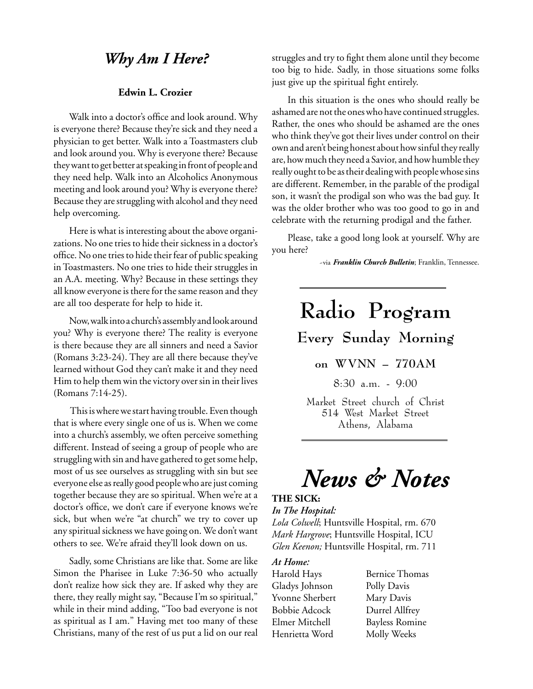# *Why Am I Here?*

# **Edwin L. Crozier**

Walk into a doctor's office and look around. Why is everyone there? Because they're sick and they need a physician to get better. Walk into a Toastmasters club and look around you. Why is everyone there? Because they want to get better at speaking in front of people and they need help. Walk into an Alcoholics Anonymous meeting and look around you? Why is everyone there? Because they are struggling with alcohol and they need help overcoming.

Here is what is interesting about the above organizations. No one tries to hide their sickness in a doctor's office. No one tries to hide their fear of public speaking in Toastmasters. No one tries to hide their struggles in an A.A. meeting. Why? Because in these settings they all know everyone is there for the same reason and they are all too desperate for help to hide it.

Now, walk into a church's assembly and look around you? Why is everyone there? The reality is everyone is there because they are all sinners and need a Savior (Romans 3:23-24). They are all there because they've learned without God they can't make it and they need Him to help them win the victory over sin in their lives (Romans 7:14-25).

 This is where we start having trouble. Even though that is where every single one of us is. When we come into a church's assembly, we often perceive something different. Instead of seeing a group of people who are struggling with sin and have gathered to get some help, most of us see ourselves as struggling with sin but see everyone else as really good people who are just coming together because they are so spiritual. When we're at a doctor's office, we don't care if everyone knows we're sick, but when we're "at church" we try to cover up any spiritual sickness we have going on. We don't want others to see. We're afraid they'll look down on us.

Sadly, some Christians are like that. Some are like Simon the Pharisee in Luke 7:36-50 who actually don't realize how sick they are. If asked why they are there, they really might say, "Because I'm so spiritual," while in their mind adding, "Too bad everyone is not as spiritual as I am." Having met too many of these Christians, many of the rest of us put a lid on our real struggles and try to fight them alone until they become too big to hide. Sadly, in those situations some folks just give up the spiritual fight entirely.

In this situation is the ones who should really be ashamed are not the ones who have continued struggles. Rather, the ones who should be ashamed are the ones who think they've got their lives under control on their own and aren't being honest about how sinful they really are, how much they need a Savior, and how humble they really ought to be as their dealing with people whose sins are different. Remember, in the parable of the prodigal son, it wasn't the prodigal son who was the bad guy. It was the older brother who was too good to go in and celebrate with the returning prodigal and the father.

Please, take a good long look at yourself. Why are you here?

~via *Franklin Church Bulletin*; Franklin, Tennessee.

# **Radio Program Every Sunday Morning on WVNN – 770AM** 8:30 a.m. - 9:00

Market Street church of Christ 514 West Market Street Athens, Alabama

# *News & Notes*

# **THE SICK:**

# *In The Hospital:*

*Lola Colwell*; Huntsville Hospital, rm. 670 *Mark Hargrove*; Huntsville Hospital, ICU *Glen Keenon;* Huntsville Hospital, rm. 711

# *At Home:*

Gladys Johnson Polly Davis Yvonne Sherbert Mary Davis Bobbie Adcock Durrel Allfrey Henrietta Word Molly Weeks

Harold Hays Bernice Thomas Elmer Mitchell Bayless Romine